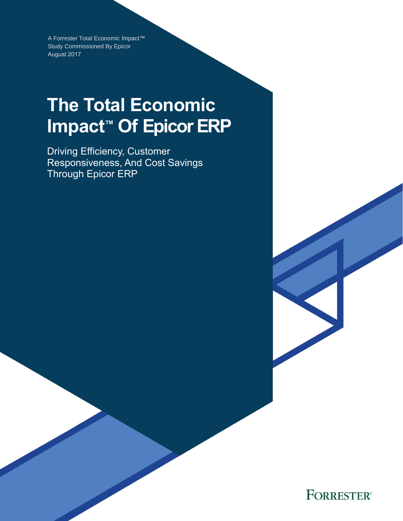A Forrester Total Economic Impact™ Study Commissioned By Epicor August 2017

# **The Total Economic Impact™ Of Epicor ERP**

Driving Efficiency, Customer Responsiveness, And Cost Savings Through Epicor ERP

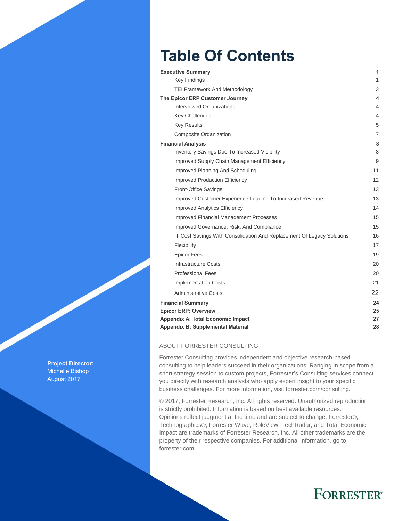## **Table Of Contents**

| <b>Executive Summary</b>                                               | 1  |
|------------------------------------------------------------------------|----|
| <b>Key Findings</b>                                                    | 1  |
| <b>TEI Framework And Methodology</b>                                   | 3  |
| The Epicor ERP Customer Journey                                        | 4  |
| Interviewed Organizations                                              | 4  |
| <b>Key Challenges</b>                                                  | 4  |
| <b>Key Results</b>                                                     | 5  |
| <b>Composite Organization</b>                                          | 7  |
| <b>Financial Analysis</b>                                              | 8  |
| Inventory Savings Due To Increased Visibility                          | 8  |
| Improved Supply Chain Management Efficiency                            | 9  |
| Improved Planning And Scheduling                                       | 11 |
| <b>Improved Production Efficiency</b>                                  | 12 |
| Front-Office Savings                                                   | 13 |
| Improved Customer Experience Leading To Increased Revenue              | 13 |
| <b>Improved Analytics Efficiency</b>                                   | 14 |
| <b>Improved Financial Management Processes</b>                         | 15 |
| Improved Governance, Risk, And Compliance                              | 15 |
| IT Cost Savings With Consolidation And Replacement Of Legacy Solutions | 16 |
| Flexibility                                                            | 17 |
| <b>Epicor Fees</b>                                                     | 19 |
| <b>Infrastructure Costs</b>                                            | 20 |
| <b>Professional Fees</b>                                               | 20 |
| <b>Implementation Costs</b>                                            | 21 |
| <b>Administrative Costs</b>                                            | 22 |
| <b>Financial Summary</b>                                               | 24 |
| <b>Epicor ERP: Overview</b>                                            | 25 |
| <b>Appendix A: Total Economic Impact</b>                               | 27 |
| Appendix B: Supplemental Material                                      | 28 |

#### ABOUT FORRESTER CONSULTING

Forrester Consulting provides independent and objective research-based consulting to help leaders succeed in their organizations. Ranging in scope from a short strategy session to custom projects, Forrester's Consulting services connect you directly with research analysts who apply expert insight to your specific business challenges. For more information, visit forrester.com/consulting.

© 2017, Forrester Research, Inc. All rights reserved. Unauthorized reproduction is strictly prohibited. Information is based on best available resources. Opinions reflect judgment at the time and are subject to change. Forrester®, Technographics®, Forrester Wave, RoleView, TechRadar, and Total Economic Impact are trademarks of Forrester Research, Inc. All other trademarks are the property of their respective companies. For additional information, go to forrester.com

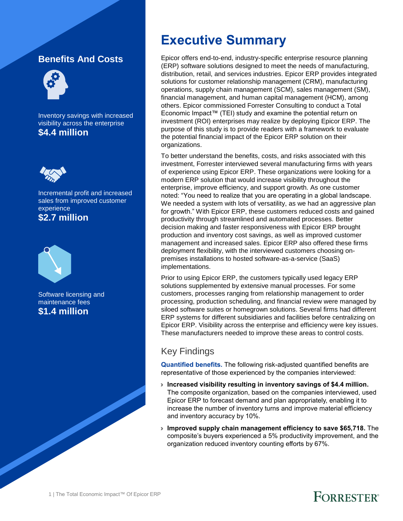### **Benefits And Costs**



Inventory savings with increased visibility across the enterprise **\$4.4 million**



Incremental profit and increased sales from improved customer experience **\$2.7 million**



Software licensing and maintenance fees **\$1.4 million**

### **Executive Summary**

Epicor offers end-to-end, industry-specific enterprise resource planning (ERP) software solutions designed to meet the needs of manufacturing, distribution, retail, and services industries. Epicor ERP provides integrated solutions for customer relationship management (CRM), manufacturing operations, supply chain management (SCM), sales management (SM), financial management, and human capital management (HCM), among others. Epicor commissioned Forrester Consulting to conduct a Total Economic Impact™ (TEI) study and examine the potential return on investment (ROI) enterprises may realize by deploying Epicor ERP. The purpose of this study is to provide readers with a framework to evaluate the potential financial impact of the Epicor ERP solution on their organizations.

To better understand the benefits, costs, and risks associated with this investment, Forrester interviewed several manufacturing firms with years of experience using Epicor ERP. These organizations were looking for a modern ERP solution that would increase visibility throughout the enterprise, improve efficiency, and support growth. As one customer noted: "You need to realize that you are operating in a global landscape. We needed a system with lots of versatility, as we had an aggressive plan for growth." With Epicor ERP, these customers reduced costs and gained productivity through streamlined and automated processes. Better decision making and faster responsiveness with Epicor ERP brought production and inventory cost savings, as well as improved customer management and increased sales. Epicor ERP also offered these firms deployment flexibility, with the interviewed customers choosing onpremises installations to hosted software-as-a-service (SaaS) implementations.

Prior to using Epicor ERP, the customers typically used legacy ERP solutions supplemented by extensive manual processes. For some customers, processes ranging from relationship management to order processing, production scheduling, and financial review were managed by siloed software suites or homegrown solutions. Several firms had different ERP systems for different subsidiaries and facilities before centralizing on Epicor ERP. Visibility across the enterprise and efficiency were key issues. These manufacturers needed to improve these areas to control costs.

### Key Findings

**Quantified benefits.** The following risk-adjusted quantified benefits are representative of those experienced by the companies interviewed:

- › **Increased visibility resulting in inventory savings of \$4.4 million.**  The composite organization, based on the companies interviewed, used Epicor ERP to forecast demand and plan appropriately, enabling it to increase the number of inventory turns and improve material efficiency and inventory accuracy by 10%.
- › **Improved supply chain management efficiency to save \$65,718.** The composite's buyers experienced a 5% productivity improvement, and the organization reduced inventory counting efforts by 67%.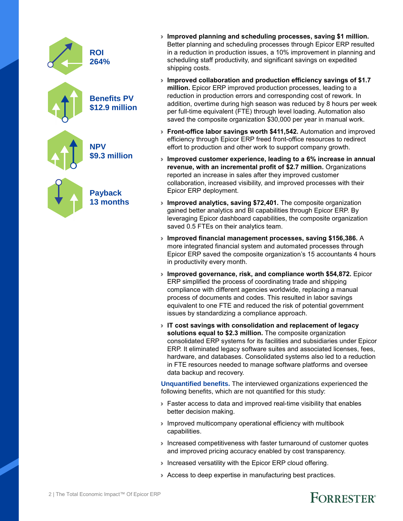| <b>ROI</b><br>264%                   |
|--------------------------------------|
| <b>Benefits PV</b><br>\$12.9 million |
| <b>NPV</b><br>\$9.3 million          |
| <b>Payback</b><br><b>13 months</b>   |

- › **Improved planning and scheduling processes, saving \$1 million.**  Better planning and scheduling processes through Epicor ERP resulted in a reduction in production issues, a 10% improvement in planning and scheduling staff productivity, and significant savings on expedited shipping costs.
- › **Improved collaboration and production efficiency savings of \$1.7 million.** Epicor ERP improved production processes, leading to a reduction in production errors and corresponding cost of rework. In addition, overtime during high season was reduced by 8 hours per week per full-time equivalent (FTE) through level loading. Automation also saved the composite organization \$30,000 per year in manual work.
- › **Front-office labor savings worth \$411,542.** Automation and improved efficiency through Epicor ERP freed front-office resources to redirect effort to production and other work to support company growth.
- › **Improved customer experience, leading to a 6% increase in annual revenue, with an incremental profit of \$2.7 million.** Organizations reported an increase in sales after they improved customer collaboration, increased visibility, and improved processes with their Epicor ERP deployment.
- › **Improved analytics, saving \$72,401.** The composite organization gained better analytics and BI capabilities through Epicor ERP. By leveraging Epicor dashboard capabilities, the composite organization saved 0.5 FTEs on their analytics team.
- › **Improved financial management processes, saving \$156,386.** A more integrated financial system and automated processes through Epicor ERP saved the composite organization's 15 accountants 4 hours in productivity every month.
- › **Improved governance, risk, and compliance worth \$54,872.** Epicor ERP simplified the process of coordinating trade and shipping compliance with different agencies worldwide, replacing a manual process of documents and codes. This resulted in labor savings equivalent to one FTE and reduced the risk of potential government issues by standardizing a compliance approach.
- › **IT cost savings with consolidation and replacement of legacy solutions equal to \$2.3 million.** The composite organization consolidated ERP systems for its facilities and subsidiaries under Epicor ERP. It eliminated legacy software suites and associated licenses, fees, hardware, and databases. Consolidated systems also led to a reduction in FTE resources needed to manage software platforms and oversee data backup and recovery.

**Unquantified benefits.** The interviewed organizations experienced the following benefits, which are not quantified for this study:

- › Faster access to data and improved real-time visibility that enables better decision making.
- › Improved multicompany operational efficiency with multibook capabilities.
- › Increased competitiveness with faster turnaround of customer quotes and improved pricing accuracy enabled by cost transparency.
- › Increased versatility with the Epicor ERP cloud offering.
- › Access to deep expertise in manufacturing best practices.



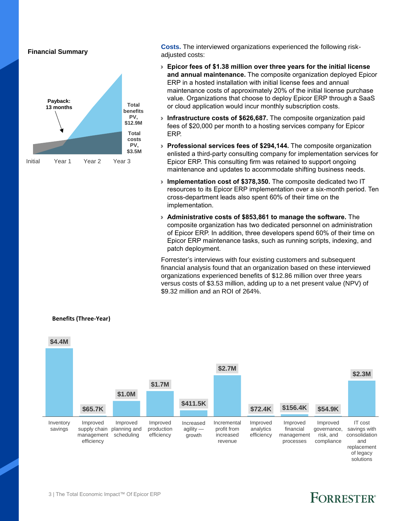**Financial Summary**



**Costs.** The interviewed organizations experienced the following riskadjusted costs:

- › **Epicor fees of \$1.38 million over three years for the initial license and annual maintenance.** The composite organization deployed Epicor ERP in a hosted installation with initial license fees and annual maintenance costs of approximately 20% of the initial license purchase value. Organizations that choose to deploy Epicor ERP through a SaaS or cloud application would incur monthly subscription costs.
- › **Infrastructure costs of \$626,687.** The composite organization paid fees of \$20,000 per month to a hosting services company for Epicor ERP.
- › **Professional services fees of \$294,144.** The composite organization enlisted a third-party consulting company for implementation services for Epicor ERP. This consulting firm was retained to support ongoing maintenance and updates to accommodate shifting business needs.
- › **Implementation cost of \$378,350.** The composite dedicated two IT resources to its Epicor ERP implementation over a six-month period. Ten cross-department leads also spent 60% of their time on the implementation.
- › **Administrative costs of \$853,861 to manage the software.** The composite organization has two dedicated personnel on administration of Epicor ERP. In addition, three developers spend 60% of their time on Epicor ERP maintenance tasks, such as running scripts, indexing, and patch deployment.

Forrester's interviews with four existing customers and subsequent financial analysis found that an organization based on these interviewed organizations experienced benefits of \$12.86 million over three years versus costs of \$3.53 million, adding up to a net present value (NPV) of \$9.32 million and an ROI of 264%.



#### **Benefits (Three-Year)**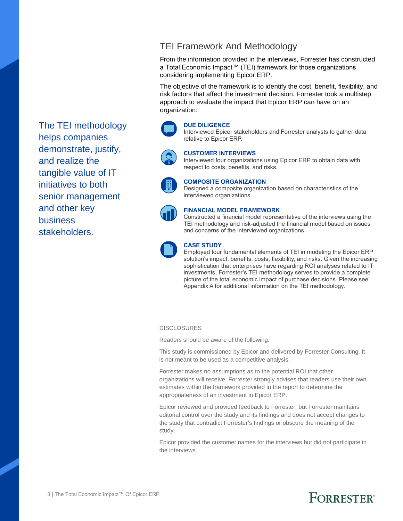### TEI Framework And Methodology

From the information provided in the interviews, Forrester has constructed a Total Economic Impact™ (TEI) framework for those organizations considering implementing Epicor ERP.

The objective of the framework is to identify the cost, benefit, flexibility, and risk factors that affect the investment decision. Forrester took a multistep approach to evaluate the impact that Epicor ERP can have on an organization:

#### **DUE DILIGENCE**

Interviewed Epicor stakeholders and Forrester analysts to gather data relative to Epicor ERP.



#### **CUSTOMER INTERVIEWS**

Interviewed four organizations using Epicor ERP to obtain data with respect to costs, benefits, and risks.



#### **COMPOSITE ORGANIZATION**

Designed a composite organization based on characteristics of the interviewed organizations.



#### **FINANCIAL MODEL FRAMEWORK**

Constructed a financial model representative of the interviews using the TEI methodology and risk-adjusted the financial model based on issues and concerns of the interviewed organizations.



#### **CASE STUDY**

Employed four fundamental elements of TEI in modeling the Epicor ERP solution's impact: benefits, costs, flexibility, and risks. Given the increasing sophistication that enterprises have regarding ROI analyses related to IT investments, Forrester's TEI methodology serves to provide a complete picture of the total economic impact of purchase decisions. Please see Appendix A for additional information on the TEI methodology.

#### **DISCLOSURES**

Readers should be aware of the following:

This study is commissioned by Epicor and delivered by Forrester Consulting. It is not meant to be used as a competitive analysis.

Forrester makes no assumptions as to the potential ROI that other organizations will receive. Forrester strongly advises that readers use their own estimates within the framework provided in the report to determine the appropriateness of an investment in Epicor ERP.

Epicor reviewed and provided feedback to Forrester, but Forrester maintains editorial control over the study and its findings and does not accept changes to the study that contradict Forrester's findings or obscure the meaning of the study.

Epicor provided the customer names for the interviews but did not participate in the interviews.

The TEI methodology helps companies demonstrate, justify, and realize the tangible value of IT initiatives to both senior management and other key business stakeholders.

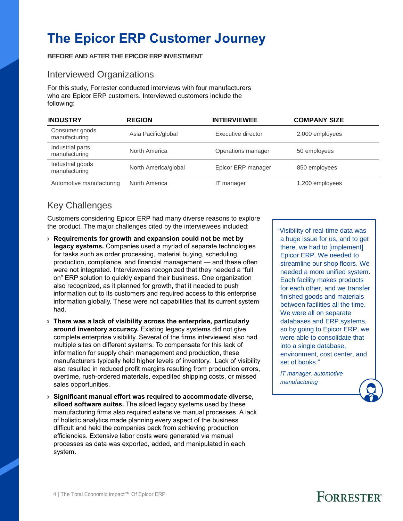## **The Epicor ERP Customer Journey**

**BEFORE AND AFTER THEEPICOR ERP INVESTMENT**

#### Interviewed Organizations

For this study, Forrester conducted interviews with four manufacturers who are Epicor ERP customers. Interviewed customers include the following:

| <b>INDUSTRY</b>                   | <b>REGION</b>        | <b>INTERVIEWEE</b> | <b>COMPANY SIZE</b> |
|-----------------------------------|----------------------|--------------------|---------------------|
| Consumer goods<br>manufacturing   | Asia Pacific/global  | Executive director | 2,000 employees     |
| Industrial parts<br>manufacturing | North America        | Operations manager | 50 employees        |
| Industrial goods<br>manufacturing | North America/global | Epicor ERP manager | 850 employees       |
| Automotive manufacturing          | North America        | IT manager         | 1,200 employees     |

### Key Challenges

Customers considering Epicor ERP had many diverse reasons to explore the product. The major challenges cited by the interviewees included:

- › **Requirements for growth and expansion could not be met by legacy systems.** Companies used a myriad of separate technologies for tasks such as order processing, material buying, scheduling, production, compliance, and financial management — and these often were not integrated. Interviewees recognized that they needed a "full on" ERP solution to quickly expand their business. One organization also recognized, as it planned for growth, that it needed to push information out to its customers and required access to this enterprise information globally. These were not capabilities that its current system had.
- › **There was a lack of visibility across the enterprise, particularly around inventory accuracy.** Existing legacy systems did not give complete enterprise visibility. Several of the firms interviewed also had multiple sites on different systems. To compensate for this lack of information for supply chain management and production, these manufacturers typically held higher levels of inventory. Lack of visibility also resulted in reduced profit margins resulting from production errors, overtime, rush-ordered materials, expedited shipping costs, or missed sales opportunities.
- › **Significant manual effort was required to accommodate diverse, siloed software suites.** The siloed legacy systems used by these manufacturing firms also required extensive manual processes. A lack of holistic analytics made planning every aspect of the business difficult and held the companies back from achieving production efficiencies. Extensive labor costs were generated via manual processes as data was exported, added, and manipulated in each system.

"Visibility of real-time data was a huge issue for us, and to get there, we had to [implement] Epicor ERP. We needed to streamline our shop floors. We needed a more unified system. Each facility makes products for each other, and we transfer finished goods and materials between facilities all the time. We were all on separate databases and ERP systems, so by going to Epicor ERP, we were able to consolidate that into a single database, environment, cost center, and set of books."

*IT manager, automotive manufacturing*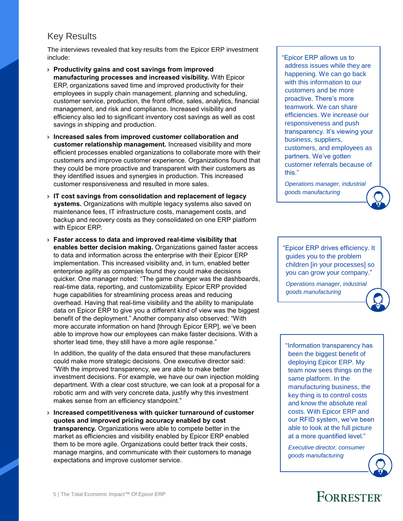#### Key Results

The interviews revealed that key results from the Epicor ERP investment include:

- › **Productivity gains and cost savings from improved manufacturing processes and increased visibility.** With Epicor ERP, organizations saved time and improved productivity for their employees in supply chain management, planning and scheduling, customer service, production, the front office, sales, analytics, financial management, and risk and compliance. Increased visibility and efficiency also led to significant inventory cost savings as well as cost savings in shipping and production.
- › **Increased sales from improved customer collaboration and customer relationship management.** Increased visibility and more efficient processes enabled organizations to collaborate more with their customers and improve customer experience. Organizations found that they could be more proactive and transparent with their customers as they identified issues and synergies in production. This increased customer responsiveness and resulted in more sales.
- › **IT cost savings from consolidation and replacement of legacy systems.** Organizations with multiple legacy systems also saved on maintenance fees, IT infrastructure costs, management costs, and backup and recovery costs as they consolidated on one ERP platform with Epicor ERP.
- › **Faster access to data and improved real-time visibility that enables better decision making.** Organizations gained faster access to data and information across the enterprise with their Epicor ERP implementation. This increased visibility and, in turn, enabled better enterprise agility as companies found they could make decisions quicker. One manager noted: "The game changer was the dashboards, real-time data, reporting, and customizability. Epicor ERP provided huge capabilities for streamlining process areas and reducing overhead. Having that real-time visibility and the ability to manipulate data on Epicor ERP to give you a different kind of view was the biggest benefit of the deployment." Another company also observed: "With more accurate information on hand [through Epicor ERP], we've been able to improve how our employees can make faster decisions. With a shorter lead time, they still have a more agile response."

In addition, the quality of the data ensured that these manufacturers could make more strategic decisions. One executive director said: "With the improved transparency, we are able to make better investment decisions. For example, we have our own injection molding department. With a clear cost structure, we can look at a proposal for a robotic arm and with very concrete data, justify why this investment makes sense from an efficiency standpoint."

› **Increased competitiveness with quicker turnaround of customer quotes and improved pricing accuracy enabled by cost transparency.** Organizations were able to compete better in the market as efficiencies and visibility enabled by Epicor ERP enabled them to be more agile. Organizations could better track their costs, manage margins, and communicate with their customers to manage expectations and improve customer service.

"Epicor ERP allows us to address issues while they are happening. We can go back with this information to our customers and be more proactive. There's more teamwork. We can share efficiencies. We increase our responsiveness and push transparency. It's viewing your business, suppliers, customers, and employees as partners. We've gotten customer referrals because of this."

*Operations manager, industrial goods manufacturing*

"Epicor ERP drives efficiency. It guides you to the problem children [in your processes] so you can grow your company."

*Operations manager, industrial goods manufacturing*

"Information transparency has been the biggest benefit of deploying Epicor ERP. My team now sees things on the same platform. In the manufacturing business, the key thing is to control costs and know the absolute real costs. With Epicor ERP and our RFID system, we've been able to look at the full picture at a more quantified level."

*Executive director, consumer goods manufacturing*

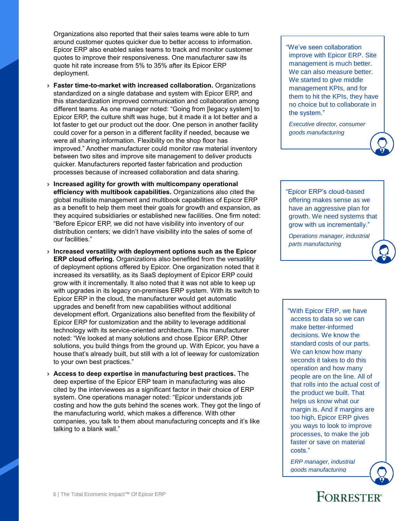Organizations also reported that their sales teams were able to turn around customer quotes quicker due to better access to information. Epicor ERP also enabled sales teams to track and monitor customer quotes to improve their responsiveness. One manufacturer saw its quote hit rate increase from 5% to 35% after its Epicor ERP deployment.

- › **Faster time-to-market with increased collaboration.** Organizations standardized on a single database and system with Epicor ERP, and this standardization improved communication and collaboration among different teams. As one manager noted: "Going from [legacy system] to Epicor ERP, the culture shift was huge, but it made it a lot better and a lot faster to get our product out the door. One person in another facility could cover for a person in a different facility if needed, because we were all sharing information. Flexibility on the shop floor has improved." Another manufacturer could monitor raw material inventory between two sites and improve site management to deliver products quicker. Manufacturers reported faster fabrication and production processes because of increased collaboration and data sharing.
- › **Increased agility for growth with multicompany operational efficiency with multibook capabilities.** Organizations also cited the global multisite management and multibook capabilities of Epicor ERP as a benefit to help them meet their goals for growth and expansion, as they acquired subsidiaries or established new facilities. One firm noted: "Before Epicor ERP, we did not have visibility into inventory of our distribution centers; we didn't have visibility into the sales of some of our facilities."
- › **Increased versatility with deployment options such as the Epicor ERP cloud offering.** Organizations also benefited from the versatility of deployment options offered by Epicor. One organization noted that it increased its versatility, as its SaaS deployment of Epicor ERP could grow with it incrementally. It also noted that it was not able to keep up with upgrades in its legacy on-premises ERP system. With its switch to Epicor ERP in the cloud, the manufacturer would get automatic upgrades and benefit from new capabilities without additional development effort. Organizations also benefited from the flexibility of Epicor ERP for customization and the ability to leverage additional technology with its service-oriented architecture. This manufacturer noted: "We looked at many solutions and chose Epicor ERP. Other solutions, you build things from the ground up. With Epicor, you have a house that's already built, but still with a lot of leeway for customization to your own best practices."
- › **Access to deep expertise in manufacturing best practices.** The deep expertise of the Epicor ERP team in manufacturing was also cited by the interviewees as a significant factor in their choice of ERP system. One operations manager noted: "Epicor understands job costing and how the guts behind the scenes work. They got the lingo of the manufacturing world, which makes a difference. With other companies, you talk to them about manufacturing concepts and it's like talking to a blank wall."

"We've seen collaboration improve with Epicor ERP. Site management is much better. We can also measure better. We started to give middle management KPIs, and for them to hit the KPIs, they have no choice but to collaborate in the system."

*Executive director, consumer goods manufacturing*

"Epicor ERP's cloud-based offering makes sense as we have an aggressive plan for growth. We need systems that grow with us incrementally."

*Operations manager, industrial parts manufacturing*

"With Epicor ERP, we have access to data so we can make better-informed decisions. We know the standard costs of our parts. We can know how many seconds it takes to do this operation and how many people are on the line. All of that rolls into the actual cost of the product we built. That helps us know what our margin is. And if margins are too high, Epicor ERP gives you ways to look to improve processes, to make the job faster or save on material costs."

*ERP manager, industrial goods manufacturing*

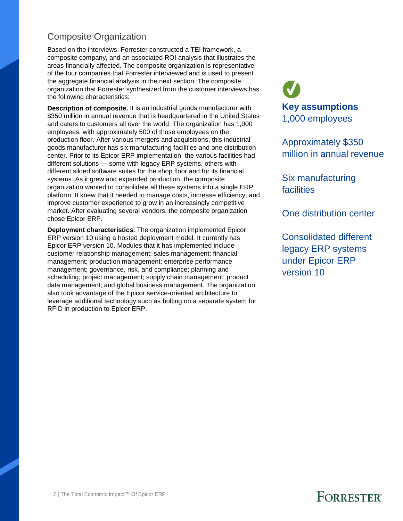#### Composite Organization

Based on the interviews, Forrester constructed a TEI framework, a composite company, and an associated ROI analysis that illustrates the areas financially affected. The composite organization is representative of the four companies that Forrester interviewed and is used to present the aggregate financial analysis in the next section. The composite organization that Forrester synthesized from the customer interviews has the following characteristics:

**Description of composite.** It is an industrial goods manufacturer with \$350 million in annual revenue that is headquartered in the United States and caters to customers all over the world. The organization has 1,000 employees, with approximately 500 of those employees on the production floor. After various mergers and acquisitions, this industrial goods manufacturer has six manufacturing facilities and one distribution center. Prior to its Epicor ERP implementation, the various facilities had different solutions — some with legacy ERP systems, others with different siloed software suites for the shop floor and for its financial systems. As it grew and expanded production, the composite organization wanted to consolidate all these systems into a single ERP platform. It knew that it needed to manage costs, increase efficiency, and improve customer experience to grow in an increasingly competitive market. After evaluating several vendors, the composite organization chose Epicor ERP.

**Deployment characteristics.** The organization implemented Epicor ERP version 10 using a hosted deployment model. It currently has Epicor ERP version 10. Modules that it has implemented include customer relationship management; sales management; financial management; production management; enterprise performance management; governance, risk, and compliance; planning and scheduling; project management; supply chain management; product data management; and global business management. The organization also took advantage of the Epicor service-oriented architecture to leverage additional technology such as bolting on a separate system for RFID in production to Epicor ERP.

**Key assumptions** 1,000 employees

Approximately \$350 million in annual revenue

Six manufacturing facilities

One distribution center

Consolidated different legacy ERP systems under Epicor ERP version 10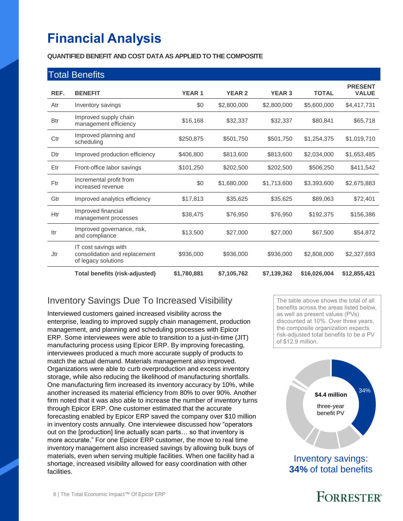## **Financial Analysis**

Itr Improved governance, risk,<br>and compliance

IT cost savings with

of legacy solutions

consolidation and replacement

Jtr

#### **QUANTIFIED BENEFIT AND COST DATA AS APPLIED TO THE COMPOSITE**

|            | <b>Total Benefits</b>                          |              |               |               |              |                                |
|------------|------------------------------------------------|--------------|---------------|---------------|--------------|--------------------------------|
| REF.       | <b>BENEFIT</b>                                 | <b>YEAR1</b> | <b>YEAR 2</b> | <b>YEAR 3</b> | <b>TOTAL</b> | <b>PRESENT</b><br><b>VALUE</b> |
| Atr        | Inventory savings                              | \$0          | \$2,800,000   | \$2,800,000   | \$5,600,000  | \$4,417,731                    |
| <b>Btr</b> | Improved supply chain<br>management efficiency | \$16,168     | \$32,337      | \$32,337      | \$80,841     | \$65,718                       |
| Ctr        | Improved planning and<br>scheduling            | \$250,875    | \$501,750     | \$501,750     | \$1,254,375  | \$1,019,710                    |
| Dtr        | Improved production efficiency                 | \$406,800    | \$813,600     | \$813,600     | \$2,034,000  | \$1,653,485                    |
| Etr        | Front-office labor savings                     | \$101,250    | \$202,500     | \$202,500     | \$506,250    | \$411,542                      |
| Ftr        | Incremental profit from<br>increased revenue   | \$0          | \$1,680,000   | \$1,713,600   | \$3,393,600  | \$2,675,883                    |
| Gtr        | Improved analytics efficiency                  | \$17,813     | \$35,625      | \$35,625      | \$89,063     | \$72,401                       |
| Htr        | Improved financial<br>management processes     | \$38,475     | \$76,950      | \$76,950      | \$192,375    | \$156,386                      |

mproved governance, nsk,  $$13,500$   $$27,000$   $$27,000$   $$67,500$   $$54,872$ 

**Total benefits (risk-adjusted) \$1,780,881 \$7,105,762 \$7,139,362 \$16,026,004 \$12,855,421** 

\$936,000 \$936,000 \$936,000 \$2,808,000 \$2,327,693

### Inventory Savings Due To Increased Visibility

Interviewed customers gained increased visibility across the enterprise, leading to improved supply chain management, production management, and planning and scheduling processes with Epicor ERP. Some interviewees were able to transition to a just-in-time (JIT) manufacturing process using Epicor ERP. By improving forecasting, interviewees produced a much more accurate supply of products to match the actual demand. Materials management also improved. Organizations were able to curb overproduction and excess inventory storage, while also reducing the likelihood of manufacturing shortfalls. One manufacturing firm increased its inventory accuracy by 10%, while another increased its material efficiency from 80% to over 90%. Another firm noted that it was also able to increase the number of inventory turns through Epicor ERP. One customer estimated that the accurate forecasting enabled by Epicor ERP saved the company over \$10 million in inventory costs annually. One interviewee discussed how "operators out on the [production] line actually scan parts… so that inventory is more accurate." For one Epicor ERP customer, the move to real time inventory management also increased savings by allowing bulk buys of materials, even when serving multiple facilities. When one facility had a shortage, increased visibility allowed for easy coordination with other facilities.

The table above shows the total of all benefits across the areas listed below, as well as present values (PVs) discounted at 10%. Over three years, the composite organization expects risk-adjusted total benefits to be a PV of \$12.9 million.



Inventory savings: **34%** of total benefits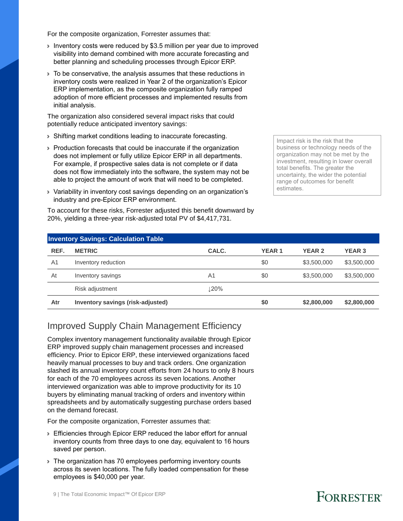For the composite organization, Forrester assumes that:

- › Inventory costs were reduced by \$3.5 million per year due to improved visibility into demand combined with more accurate forecasting and better planning and scheduling processes through Epicor ERP.
- › To be conservative, the analysis assumes that these reductions in inventory costs were realized in Year 2 of the organization's Epicor ERP implementation, as the composite organization fully ramped adoption of more efficient processes and implemented results from initial analysis.

The organization also considered several impact risks that could potentially reduce anticipated inventory savings:

- › Shifting market conditions leading to inaccurate forecasting.
- › Production forecasts that could be inaccurate if the organization does not implement or fully utilize Epicor ERP in all departments. For example, if prospective sales data is not complete or if data does not flow immediately into the software, the system may not be able to project the amount of work that will need to be completed.
- › Variability in inventory cost savings depending on an organization's industry and pre-Epicor ERP environment.

To account for these risks, Forrester adjusted this benefit downward by 20%, yielding a three-year risk-adjusted total PV of \$4,417,731.

Impact risk is the risk that the business or technology needs of the organization may not be met by the investment, resulting in lower overall total benefits. The greater the uncertainty, the wider the potential range of outcomes for benefit estimates.

|                | <b>Inventory Savings: Calculation Table</b> |            |              |               |               |
|----------------|---------------------------------------------|------------|--------------|---------------|---------------|
| REF.           | <b>METRIC</b>                               | CALC.      | <b>YEAR1</b> | <b>YEAR 2</b> | <b>YEAR 3</b> |
| A <sub>1</sub> | Inventory reduction                         |            | \$0          | \$3,500,000   | \$3,500,000   |
| At             | Inventory savings                           | A1         | \$0          | \$3,500,000   | \$3,500,000   |
|                | Risk adjustment                             | <b>20%</b> |              |               |               |
| Atr            | Inventory savings (risk-adjusted)           |            | \$0          | \$2,800,000   | \$2,800,000   |

#### Improved Supply Chain Management Efficiency

Complex inventory management functionality available through Epicor ERP improved supply chain management processes and increased efficiency. Prior to Epicor ERP, these interviewed organizations faced heavily manual processes to buy and track orders. One organization slashed its annual inventory count efforts from 24 hours to only 8 hours for each of the 70 employees across its seven locations. Another interviewed organization was able to improve productivity for its 10 buyers by eliminating manual tracking of orders and inventory within spreadsheets and by automatically suggesting purchase orders based on the demand forecast.

For the composite organization, Forrester assumes that:

- › Efficiencies through Epicor ERP reduced the labor effort for annual inventory counts from three days to one day, equivalent to 16 hours saved per person.
- › The organization has 70 employees performing inventory counts across its seven locations. The fully loaded compensation for these employees is \$40,000 per year.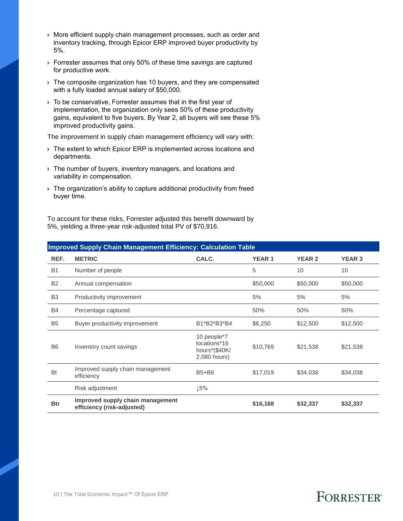- › More efficient supply chain management processes, such as order and inventory tracking, through Epicor ERP improved buyer productivity by 5%.
- › Forrester assumes that only 50% of these time savings are captured for productive work.
- › The composite organization has 10 buyers, and they are compensated with a fully loaded annual salary of \$50,000.
- › To be conservative, Forrester assumes that in the first year of implementation, the organization only sees 50% of these productivity gains, equivalent to five buyers. By Year 2, all buyers will see these 5% improved productivity gains.

The improvement in supply chain management efficiency will vary with:

- › The extent to which Epicor ERP is implemented across locations and departments.
- › The number of buyers, inventory managers, and locations and variability in compensation.
- › The organization's ability to capture additional productivity from freed buyer time.

To account for these risks, Forrester adjusted this benefit downward by 5%, yielding a three-year risk-adjusted total PV of \$70,916.

|                | <b>Improved Supply Chain Management Efficiency: Calculation Table</b> |                                                              |              |               |               |  |  |
|----------------|-----------------------------------------------------------------------|--------------------------------------------------------------|--------------|---------------|---------------|--|--|
| REF.           | <b>METRIC</b>                                                         | CALC.                                                        | <b>YEAR1</b> | <b>YEAR 2</b> | <b>YEAR 3</b> |  |  |
| <b>B1</b>      | Number of people                                                      |                                                              | 5            | 10            | 10            |  |  |
| <b>B2</b>      | Annual compensation                                                   |                                                              | \$50,000     | \$50,000      | \$50,000      |  |  |
| B <sub>3</sub> | Productivity improvement                                              |                                                              | 5%           | 5%            | 5%            |  |  |
| <b>B4</b>      | Percentage captured                                                   |                                                              | 50%          | 50%           | 50%           |  |  |
| <b>B5</b>      | Buyer productivity improvement                                        | B1*B2*B3*B4                                                  | \$6,250      | \$12,500      | \$12,500      |  |  |
| B <sub>6</sub> | Inventory count savings                                               | 10 people*7<br>locations*16<br>hours*(\$40K/<br>2,080 hours) | \$10,769     | \$21,538      | \$21,538      |  |  |
| Bt             | Improved supply chain management<br>efficiency                        | $B5+B6$                                                      | \$17,019     | \$34,038      | \$34,038      |  |  |
|                | Risk adjustment                                                       | $\downarrow$ 5%                                              |              |               |               |  |  |
| <b>Btr</b>     | Improved supply chain management<br>efficiency (risk-adjusted)        |                                                              | \$16,168     | \$32,337      | \$32,337      |  |  |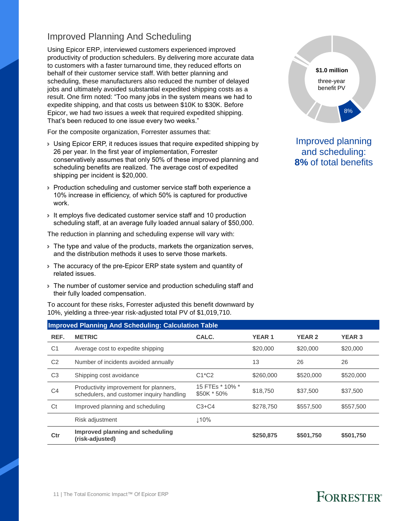### Improved Planning And Scheduling

Using Epicor ERP, interviewed customers experienced improved productivity of production schedulers. By delivering more accurate data to customers with a faster turnaround time, they reduced efforts on behalf of their customer service staff. With better planning and scheduling, these manufacturers also reduced the number of delayed jobs and ultimately avoided substantial expedited shipping costs as a result. One firm noted: "Too many jobs in the system means we had to expedite shipping, and that costs us between \$10K to \$30K. Before Epicor, we had two issues a week that required expedited shipping. That's been reduced to one issue every two weeks."

For the composite organization, Forrester assumes that:

- › Using Epicor ERP, it reduces issues that require expedited shipping by 26 per year. In the first year of implementation, Forrester conservatively assumes that only 50% of these improved planning and scheduling benefits are realized. The average cost of expedited shipping per incident is \$20,000.
- › Production scheduling and customer service staff both experience a 10% increase in efficiency, of which 50% is captured for productive work.
- › It employs five dedicated customer service staff and 10 production scheduling staff, at an average fully loaded annual salary of \$50,000.

The reduction in planning and scheduling expense will vary with:

- If The type and value of the products, markets the organization serves, and the distribution methods it uses to serve those markets.
- › The accuracy of the pre-Epicor ERP state system and quantity of related issues.
- › The number of customer service and production scheduling staff and their fully loaded compensation.

To account for these risks, Forrester adjusted this benefit downward by 10%, yielding a three-year risk-adjusted total PV of \$1,019,710.



Improved planning and scheduling: **8%** of total benefits

|                | <b>Improved Planning And Scheduling: Calculation Table</b>                          |                                |              |               |               |  |  |
|----------------|-------------------------------------------------------------------------------------|--------------------------------|--------------|---------------|---------------|--|--|
| REF.           | <b>METRIC</b>                                                                       | CALC.                          | <b>YEAR1</b> | <b>YEAR 2</b> | <b>YEAR 3</b> |  |  |
| C <sub>1</sub> | Average cost to expedite shipping                                                   |                                | \$20,000     | \$20,000      | \$20,000      |  |  |
| C <sub>2</sub> | Number of incidents avoided annually                                                |                                | 13           | 26            | 26            |  |  |
| C <sub>3</sub> | Shipping cost avoidance                                                             | $C1^{\star}C2$                 | \$260,000    | \$520,000     | \$520,000     |  |  |
| C <sub>4</sub> | Productivity improvement for planners,<br>schedulers, and customer inquiry handling | 15 FTEs * 10% *<br>\$50K * 50% | \$18,750     | \$37,500      | \$37,500      |  |  |
| Ct             | Improved planning and scheduling                                                    | $C3+C4$                        | \$278.750    | \$557,500     | \$557,500     |  |  |
|                | Risk adjustment                                                                     | $\perp$ 10%                    |              |               |               |  |  |
| Ctr            | Improved planning and scheduling<br>(risk-adjusted)                                 |                                | \$250,875    | \$501,750     | \$501,750     |  |  |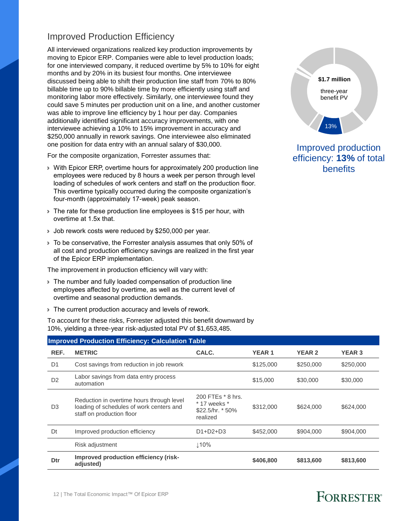#### Improved Production Efficiency

All interviewed organizations realized key production improvements by moving to Epicor ERP. Companies were able to level production loads; for one interviewed company, it reduced overtime by 5% to 10% for eight months and by 20% in its busiest four months. One interviewee discussed being able to shift their production line staff from 70% to 80% billable time up to 90% billable time by more efficiently using staff and monitoring labor more effectively. Similarly, one interviewee found they could save 5 minutes per production unit on a line, and another customer was able to improve line efficiency by 1 hour per day. Companies additionally identified significant accuracy improvements, with one interviewee achieving a 10% to 15% improvement in accuracy and \$250,000 annually in rework savings. One interviewee also eliminated one position for data entry with an annual salary of \$30,000.

For the composite organization, Forrester assumes that:

- › With Epicor ERP, overtime hours for approximately 200 production line employees were reduced by 8 hours a week per person through level loading of schedules of work centers and staff on the production floor. This overtime typically occurred during the composite organization's four-month (approximately 17-week) peak season.
- If The rate for these production line employees is \$15 per hour, with overtime at 1.5x that.
- › Job rework costs were reduced by \$250,000 per year.
- › To be conservative, the Forrester analysis assumes that only 50% of all cost and production efficiency savings are realized in the first year of the Epicor ERP implementation.

The improvement in production efficiency will vary with:

- › The number and fully loaded compensation of production line employees affected by overtime, as well as the current level of overtime and seasonal production demands.
- › The current production accuracy and levels of rework.

To account for these risks, Forrester adjusted this benefit downward by 10%, yielding a three-year risk-adjusted total PV of \$1,653,485.

| \$1.7 million            |  |
|--------------------------|--|
| three-year<br>benefit PV |  |
| 13%                      |  |

**STATISTICS** 

#### Improved production efficiency: **13%** of total benefits

|                | <b>Improved Production Efficiency: Calculation Table</b>                                                           |                                                                         |              |               |               |  |  |
|----------------|--------------------------------------------------------------------------------------------------------------------|-------------------------------------------------------------------------|--------------|---------------|---------------|--|--|
| REF.           | <b>METRIC</b>                                                                                                      | CALC.                                                                   | <b>YEAR1</b> | <b>YEAR 2</b> | <b>YEAR 3</b> |  |  |
| D <sub>1</sub> | Cost savings from reduction in job rework                                                                          |                                                                         | \$125,000    | \$250,000     | \$250,000     |  |  |
| D <sub>2</sub> | Labor savings from data entry process<br>automation                                                                |                                                                         | \$15,000     | \$30,000      | \$30,000      |  |  |
| D <sub>3</sub> | Reduction in overtime hours through level<br>loading of schedules of work centers and<br>staff on production floor | 200 FTEs * 8 hrs.<br>$*$ 17 weeks $*$<br>$$22.5/hr. * 50\%$<br>realized | \$312,000    | \$624,000     | \$624,000     |  |  |
| Dt             | Improved production efficiency                                                                                     | $D1+D2+D3$                                                              | \$452,000    | \$904,000     | \$904,000     |  |  |
|                | Risk adjustment                                                                                                    | 110%                                                                    |              |               |               |  |  |
| Dtr            | Improved production efficiency (risk-<br>adjusted)                                                                 |                                                                         | \$406,800    | \$813,600     | \$813,600     |  |  |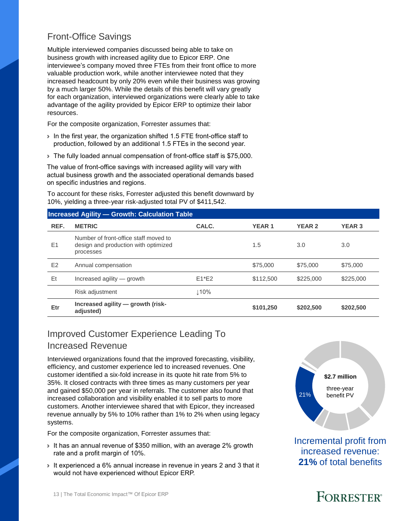### Front-Office Savings

Multiple interviewed companies discussed being able to take on business growth with increased agility due to Epicor ERP. One interviewee's company moved three FTEs from their front office to more valuable production work, while another interviewee noted that they increased headcount by only 20% even while their business was growing by a much larger 50%. While the details of this benefit will vary greatly for each organization, interviewed organizations were clearly able to take advantage of the agility provided by Epicor ERP to optimize their labor resources.

For the composite organization, Forrester assumes that:

- › In the first year, the organization shifted 1.5 FTE front-office staff to production, followed by an additional 1.5 FTEs in the second year.
- › The fully loaded annual compensation of front-office staff is \$75,000.

The value of front-office savings with increased agility will vary with actual business growth and the associated operational demands based on specific industries and regions.

To account for these risks, Forrester adjusted this benefit downward by 10%, yielding a three-year risk-adjusted total PV of \$411,542.

#### **Increased Agility — Growth: Calculation Table**

| REF.           | <b>METRIC</b>                                                                              | CALC.   | <b>YEAR1</b> | <b>YEAR 2</b> | <b>YEAR 3</b> |
|----------------|--------------------------------------------------------------------------------------------|---------|--------------|---------------|---------------|
| E1             | Number of front-office staff moved to<br>design and production with optimized<br>processes |         | 1.5          | 3.0           | 3.0           |
| E <sub>2</sub> | Annual compensation                                                                        |         | \$75,000     | \$75,000      | \$75,000      |
| Et             | Increased agility - growth                                                                 | $E1*E2$ | \$112,500    | \$225,000     | \$225,000     |
|                | Risk adjustment                                                                            | 110%    |              |               |               |
| Etr            | Increased agility - growth (risk-<br>adjusted)                                             |         | \$101,250    | \$202,500     | \$202,500     |

#### Improved Customer Experience Leading To Increased Revenue

Interviewed organizations found that the improved forecasting, visibility, efficiency, and customer experience led to increased revenues. One customer identified a six-fold increase in its quote hit rate from 5% to 35%. It closed contracts with three times as many customers per year and gained \$50,000 per year in referrals. The customer also found that increased collaboration and visibility enabled it to sell parts to more customers. Another interviewee shared that with Epicor, they increased revenue annually by 5% to 10% rather than 1% to 2% when using legacy systems.

For the composite organization, Forrester assumes that:

- › It has an annual revenue of \$350 million, with an average 2% growth rate and a profit margin of 10%.
- › It experienced a 6% annual increase in revenue in years 2 and 3 that it would not have experienced without Epicor ERP.



Incremental profit from increased revenue: **21%** of total benefits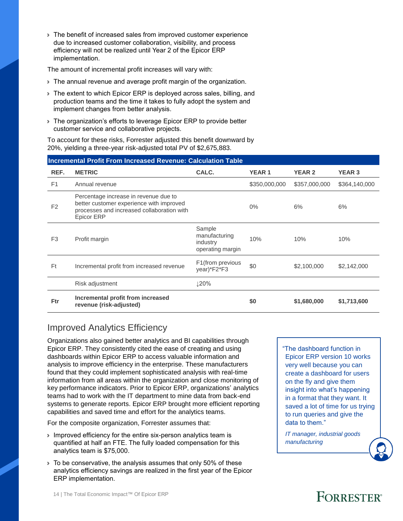› The benefit of increased sales from improved customer experience due to increased customer collaboration, visibility, and process efficiency will not be realized until Year 2 of the Epicor ERP implementation.

The amount of incremental profit increases will vary with:

- › The annual revenue and average profit margin of the organization.
- › The extent to which Epicor ERP is deployed across sales, billing, and production teams and the time it takes to fully adopt the system and implement changes from better analysis.
- › The organization's efforts to leverage Epicor ERP to provide better customer service and collaborative projects.

To account for these risks, Forrester adjusted this benefit downward by 20%, yielding a three-year risk-adjusted total PV of \$2,675,883.

| <b>Incremental Profit From Increased Revenue: Calculation Table</b> |                                                                                                                                                      |                                                         |               |               |               |  |
|---------------------------------------------------------------------|------------------------------------------------------------------------------------------------------------------------------------------------------|---------------------------------------------------------|---------------|---------------|---------------|--|
| REF.                                                                | <b>METRIC</b>                                                                                                                                        | CALC.                                                   | <b>YEAR1</b>  | <b>YEAR 2</b> | <b>YEAR 3</b> |  |
| F <sub>1</sub>                                                      | Annual revenue                                                                                                                                       |                                                         | \$350,000,000 | \$357,000,000 | \$364,140,000 |  |
| F <sub>2</sub>                                                      | Percentage increase in revenue due to<br>better customer experience with improved<br>processes and increased collaboration with<br><b>Epicor ERP</b> |                                                         | $0\%$         | 6%            | 6%            |  |
| F <sub>3</sub>                                                      | Profit margin                                                                                                                                        | Sample<br>manufacturing<br>industry<br>operating margin | 10%           | 10%           | 10%           |  |
| Ft.                                                                 | Incremental profit from increased revenue                                                                                                            | F1 (from previous<br>year)*F2*F3                        | \$0           | \$2,100,000   | \$2,142,000   |  |
|                                                                     | Risk adjustment                                                                                                                                      | ↓20%                                                    |               |               |               |  |
| <b>Ftr</b>                                                          | Incremental profit from increased<br>revenue (risk-adjusted)                                                                                         |                                                         | \$0           | \$1,680,000   | \$1,713,600   |  |

### Improved Analytics Efficiency

Organizations also gained better analytics and BI capabilities through Epicor ERP. They consistently cited the ease of creating and using dashboards within Epicor ERP to access valuable information and analysis to improve efficiency in the enterprise. These manufacturers found that they could implement sophisticated analysis with real-time information from all areas within the organization and close monitoring of key performance indicators. Prior to Epicor ERP, organizations' analytics teams had to work with the IT department to mine data from back-end systems to generate reports. Epicor ERP brought more efficient reporting capabilities and saved time and effort for the analytics teams.

For the composite organization, Forrester assumes that:

- › Improved efficiency for the entire six-person analytics team is quantified at half an FTE. The fully loaded compensation for this analytics team is \$75,000.
- › To be conservative, the analysis assumes that only 50% of these analytics efficiency savings are realized in the first year of the Epicor ERP implementation.

"The dashboard function in Epicor ERP version 10 works very well because you can create a dashboard for users on the fly and give them insight into what's happening in a format that they want. It saved a lot of time for us trying to run queries and give the data to them."

*IT manager, industrial goods manufacturing*

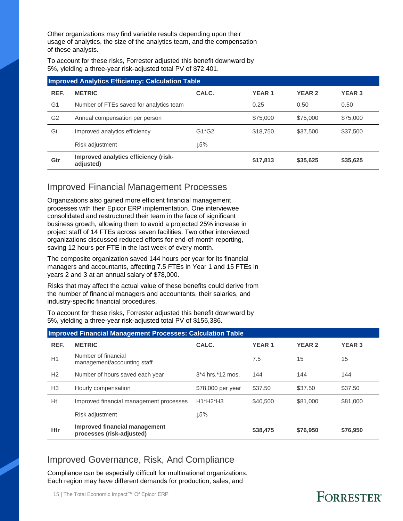Other organizations may find variable results depending upon their usage of analytics, the size of the analytics team, and the compensation of these analysts.

To account for these risks, Forrester adjusted this benefit downward by 5%, yielding a three-year risk-adjusted total PV of \$72,401.

| <b>Improved Analytics Efficiency: Calculation Table</b> |                                                   |         |              |               |               |  |
|---------------------------------------------------------|---------------------------------------------------|---------|--------------|---------------|---------------|--|
| REF.                                                    | <b>METRIC</b>                                     | CALC.   | <b>YEAR1</b> | <b>YEAR 2</b> | <b>YEAR 3</b> |  |
| G1                                                      | Number of FTEs saved for analytics team           |         | 0.25         | 0.50          | 0.50          |  |
| G <sub>2</sub>                                          | Annual compensation per person                    |         | \$75,000     | \$75,000      | \$75,000      |  |
| Gt                                                      | Improved analytics efficiency                     | $G1*G2$ | \$18,750     | \$37,500      | \$37,500      |  |
|                                                         | Risk adjustment                                   | 15%     |              |               |               |  |
| Gtr                                                     | Improved analytics efficiency (risk-<br>adjusted) |         | \$17,813     | \$35,625      | \$35,625      |  |

#### Improved Financial Management Processes

Organizations also gained more efficient financial management processes with their Epicor ERP implementation. One interviewee consolidated and restructured their team in the face of significant business growth, allowing them to avoid a projected 25% increase in project staff of 14 FTEs across seven facilities. Two other interviewed organizations discussed reduced efforts for end-of-month reporting, saving 12 hours per FTE in the last week of every month.

The composite organization saved 144 hours per year for its financial managers and accountants, affecting 7.5 FTEs in Year 1 and 15 FTEs in years 2 and 3 at an annual salary of \$78,000.

Risks that may affect the actual value of these benefits could derive from the number of financial managers and accountants, their salaries, and industry-specific financial procedures.

To account for these risks, Forrester adjusted this benefit downward by 5%, yielding a three-year risk-adjusted total PV of \$156,386.

|                | <b>Improved Financial Management Processes: Calculation Table</b> |                       |              |               |               |  |  |
|----------------|-------------------------------------------------------------------|-----------------------|--------------|---------------|---------------|--|--|
| REF.           | <b>METRIC</b>                                                     | CALC.                 | <b>YEAR1</b> | <b>YEAR 2</b> | <b>YEAR 3</b> |  |  |
| H1             | Number of financial<br>management/accounting staff                |                       | 7.5          | 15            | 15            |  |  |
| H <sub>2</sub> | Number of hours saved each year                                   | $3*4$ hrs. $*12$ mos. | 144          | 144           | 144           |  |  |
| H <sub>3</sub> | Hourly compensation                                               | \$78,000 per year     | \$37.50      | \$37.50       | \$37.50       |  |  |
| Ht             | Improved financial management processes                           | $H1*H2*H3$            | \$40,500     | \$81,000      | \$81,000      |  |  |
|                | Risk adjustment                                                   | 15%                   |              |               |               |  |  |
| Htr            | Improved financial management<br>processes (risk-adjusted)        |                       | \$38,475     | \$76,950      | \$76,950      |  |  |

### Improved Governance, Risk, And Compliance

Compliance can be especially difficult for multinational organizations. Each region may have different demands for production, sales, and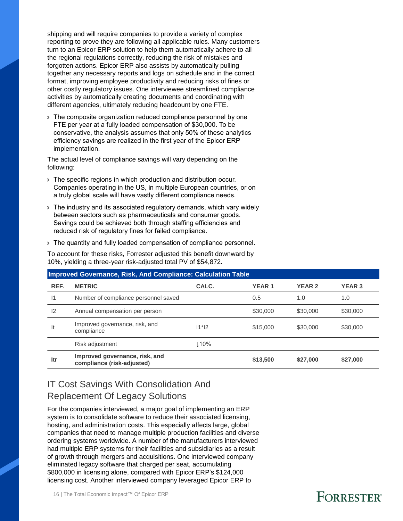shipping and will require companies to provide a variety of complex reporting to prove they are following all applicable rules. Many customers turn to an Epicor ERP solution to help them automatically adhere to all the regional regulations correctly, reducing the risk of mistakes and forgotten actions. Epicor ERP also assists by automatically pulling together any necessary reports and logs on schedule and in the correct format, improving employee productivity and reducing risks of fines or other costly regulatory issues. One interviewee streamlined compliance activities by automatically creating documents and coordinating with different agencies, ultimately reducing headcount by one FTE.

› The composite organization reduced compliance personnel by one FTE per year at a fully loaded compensation of \$30,000. To be conservative, the analysis assumes that only 50% of these analytics efficiency savings are realized in the first year of the Epicor ERP implementation.

The actual level of compliance savings will vary depending on the following:

- › The specific regions in which production and distribution occur. Companies operating in the US, in multiple European countries, or on a truly global scale will have vastly different compliance needs.
- › The industry and its associated regulatory demands, which vary widely between sectors such as pharmaceuticals and consumer goods. Savings could be achieved both through staffing efficiencies and reduced risk of regulatory fines for failed compliance.
- › The quantity and fully loaded compensation of compliance personnel.

To account for these risks, Forrester adjusted this benefit downward by 10%, yielding a three-year risk-adjusted total PV of \$54,872.

|              | Improved Governance, Risk, And Compliance: Calculation Table |         |              |               |               |
|--------------|--------------------------------------------------------------|---------|--------------|---------------|---------------|
| REF.         | <b>METRIC</b>                                                | CALC.   | <b>YEAR1</b> | <b>YEAR 2</b> | <b>YEAR 3</b> |
| $\mathsf{I}$ | Number of compliance personnel saved                         |         | 0.5          | 1.0           | 1.0           |
| 12           | Annual compensation per person                               |         | \$30,000     | \$30,000      | \$30,000      |
| It           | Improved governance, risk, and<br>compliance                 | $11*12$ | \$15,000     | \$30,000      | \$30,000      |
|              | Risk adjustment                                              | 110%    |              |               |               |
| ltr          | Improved governance, risk, and<br>compliance (risk-adjusted) |         | \$13,500     | \$27,000      | \$27,000      |

### IT Cost Savings With Consolidation And Replacement Of Legacy Solutions

For the companies interviewed, a major goal of implementing an ERP system is to consolidate software to reduce their associated licensing, hosting, and administration costs. This especially affects large, global companies that need to manage multiple production facilities and diverse ordering systems worldwide. A number of the manufacturers interviewed had multiple ERP systems for their facilities and subsidiaries as a result of growth through mergers and acquisitions. One interviewed company eliminated legacy software that charged per seat, accumulating \$800,000 in licensing alone, compared with Epicor ERP's \$124,000 licensing cost. Another interviewed company leveraged Epicor ERP to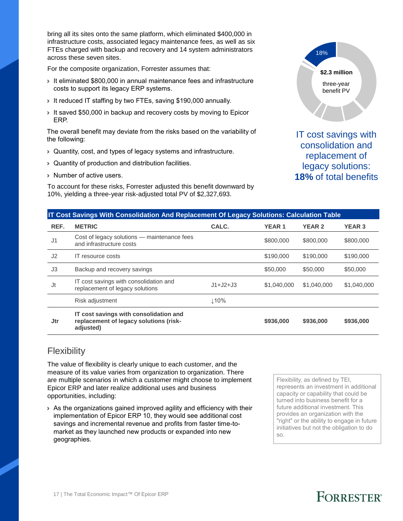bring all its sites onto the same platform, which eliminated \$400,000 in infrastructure costs, associated legacy maintenance fees, as well as six FTEs charged with backup and recovery and 14 system administrators across these seven sites.

For the composite organization, Forrester assumes that:

- › It eliminated \$800,000 in annual maintenance fees and infrastructure costs to support its legacy ERP systems.
- › It reduced IT staffing by two FTEs, saving \$190,000 annually.
- › It saved \$50,000 in backup and recovery costs by moving to Epicor ERP.

The overall benefit may deviate from the risks based on the variability of the following:

- › Quantity, cost, and types of legacy systems and infrastructure.
- › Quantity of production and distribution facilities.
- › Number of active users.

To account for these risks, Forrester adjusted this benefit downward by 10%, yielding a three-year risk-adjusted total PV of \$2,327,693.



IT cost savings with consolidation and replacement of legacy solutions: **18%** of total benefits

#### **IT Cost Savings With Consolidation And Replacement Of Legacy Solutions: Calculation Table**

| REF.           | <b>METRIC</b>                                                                                 | CALC.      | <b>YEAR1</b> | <b>YEAR 2</b> | <b>YEAR 3</b> |
|----------------|-----------------------------------------------------------------------------------------------|------------|--------------|---------------|---------------|
| J <sub>1</sub> | Cost of legacy solutions — maintenance fees<br>and infrastructure costs                       |            | \$800,000    | \$800,000     | \$800,000     |
| J2             | <b>IT</b> resource costs                                                                      |            | \$190,000    | \$190,000     | \$190,000     |
| J <sub>3</sub> | Backup and recovery savings                                                                   |            | \$50,000     | \$50,000      | \$50,000      |
| Jt             | IT cost savings with consolidation and<br>replacement of legacy solutions                     | $J1+J2+J3$ | \$1,040,000  | \$1,040,000   | \$1,040,000   |
|                | Risk adjustment                                                                               | 110%       |              |               |               |
| Jtr            | IT cost savings with consolidation and<br>replacement of legacy solutions (risk-<br>adjusted) |            | \$936,000    | \$936,000     | \$936,000     |

#### **Flexibility**

The value of flexibility is clearly unique to each customer, and the measure of its value varies from organization to organization. There are multiple scenarios in which a customer might choose to implement Epicor ERP and later realize additional uses and business opportunities, including:

› As the organizations gained improved agility and efficiency with their implementation of Epicor ERP 10, they would see additional cost savings and incremental revenue and profits from faster time-tomarket as they launched new products or expanded into new geographies.

Flexibility, as defined by TEI, represents an investment in additional capacity or capability that could be turned into business benefit for a future additional investment. This provides an organization with the "right" or the ability to engage in future initiatives but not the obligation to do so.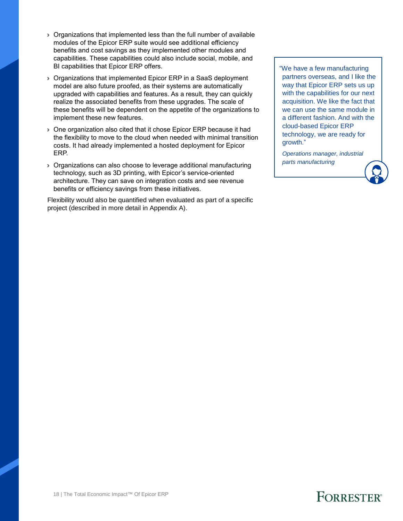- › Organizations that implemented less than the full number of available modules of the Epicor ERP suite would see additional efficiency benefits and cost savings as they implemented other modules and capabilities. These capabilities could also include social, mobile, and BI capabilities that Epicor ERP offers.
- › Organizations that implemented Epicor ERP in a SaaS deployment model are also future proofed, as their systems are automatically upgraded with capabilities and features. As a result, they can quickly realize the associated benefits from these upgrades. The scale of these benefits will be dependent on the appetite of the organizations to implement these new features.
- › One organization also cited that it chose Epicor ERP because it had the flexibility to move to the cloud when needed with minimal transition costs. It had already implemented a hosted deployment for Epicor ERP.
- › Organizations can also choose to leverage additional manufacturing technology, such as 3D printing, with Epicor's service-oriented architecture. They can save on integration costs and see revenue benefits or efficiency savings from these initiatives.

Flexibility would also be quantified when evaluated as part of a specific project (described in more detail in Appendix A).

"We have a few manufacturing partners overseas, and I like the way that Epicor ERP sets us up with the capabilities for our next acquisition. We like the fact that we can use the same module in a different fashion. And with the cloud-based Epicor ERP technology, we are ready for growth."

*Operations manager, industrial parts manufacturing*

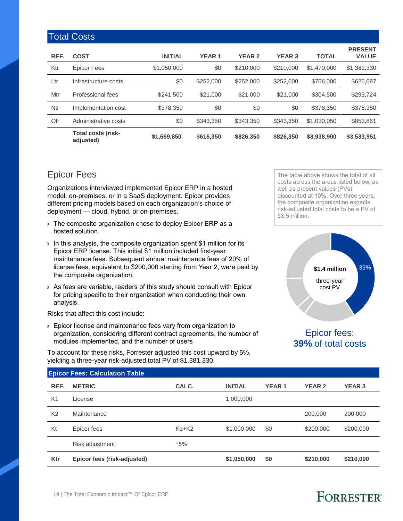|      | <b>Total Costs</b>                     |                |              |               |               |              |                                |
|------|----------------------------------------|----------------|--------------|---------------|---------------|--------------|--------------------------------|
| REF. | <b>COST</b>                            | <b>INITIAL</b> | <b>YEAR1</b> | <b>YEAR 2</b> | <b>YEAR 3</b> | <b>TOTAL</b> | <b>PRESENT</b><br><b>VALUE</b> |
| Ktr  | Epicor Fees                            | \$1,050,000    | \$0          | \$210,000     | \$210,000     | \$1,470,000  | \$1,381,330                    |
| Ltr  | Infrastructure costs                   | \$0            | \$252,000    | \$252,000     | \$252,000     | \$756,000    | \$626,687                      |
| Mtr  | Professional fees                      | \$241,500      | \$21,000     | \$21,000      | \$21,000      | \$304,500    | \$293.724                      |
| Ntr  | Implementation cost                    | \$378,350      | \$0          | \$0           | \$0           | \$378,350    | \$378,350                      |
| Otr  | Administrative costs                   | \$0            | \$343,350    | \$343,350     | \$343,350     | \$1,030,050  | \$853,861                      |
|      | <b>Total costs (risk-</b><br>adjusted) | \$1,669,850    | \$616,350    | \$826,350     | \$826,350     | \$3,938,900  | \$3,533,951                    |

### Epicor Fees

Organizations interviewed implemented Epicor ERP in a hosted model, on-premises, or in a SaaS deployment. Epicor provides different pricing models based on each organization's choice of deployment — cloud, hybrid, or on-premises.

- › The composite organization chose to deploy Epicor ERP as a hosted solution.
- › In this analysis, the composite organization spent \$1 million for its Epicor ERP license. This initial \$1 million included first-year maintenance fees. Subsequent annual maintenance fees of 20% of license fees, equivalent to \$200,000 starting from Year 2, were paid by the composite organization.
- › As fees are variable, readers of this study should consult with Epicor for pricing specific to their organization when conducting their own analysis.

Risks that affect this cost include:

› Epicor license and maintenance fees vary from organization to organization, considering different contract agreements, the number of modules implemented, and the number of users

To account for these risks, Forrester adjusted this cost upward by 5%, yielding a three-year risk-adjusted total PV of \$1,381,330.

The table above shows the total of all costs across the areas listed below, as well as present values (PVs) discounted at 10%. Over three years, the composite organization expects risk-adjusted total costs to be a PV of \$3.5 million.



#### Epicor fees: **39%** of total costs

|                | <b>Epicor Fees: Calculation Table</b> |         |                |              |               |               |
|----------------|---------------------------------------|---------|----------------|--------------|---------------|---------------|
| REF.           | <b>METRIC</b>                         | CALC.   | <b>INITIAL</b> | <b>YEAR1</b> | <b>YEAR 2</b> | <b>YEAR 3</b> |
| K <sub>1</sub> | License                               |         | 1,000,000      |              |               |               |
| K <sub>2</sub> | Maintenance                           |         |                |              | 200,000       | 200,000       |
| Kt             | Epicor fees                           | $K1+K2$ | \$1,000,000    | \$0          | \$200,000     | \$200,000     |
|                | Risk adjustment                       | ↑5%     |                |              |               |               |
| Ktr            | Epicor fees (risk-adjusted)           |         | \$1,050,000    | \$0          | \$210,000     | \$210,000     |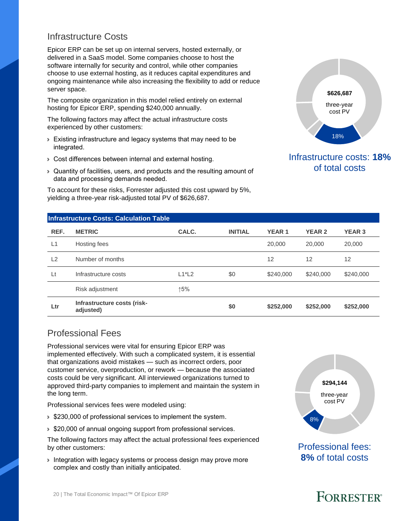#### Infrastructure Costs

Epicor ERP can be set up on internal servers, hosted externally, or delivered in a SaaS model. Some companies choose to host the software internally for security and control, while other companies choose to use external hosting, as it reduces capital expenditures and ongoing maintenance while also increasing the flexibility to add or reduce server space.

The composite organization in this model relied entirely on external hosting for Epicor ERP, spending \$240,000 annually.

The following factors may affect the actual infrastructure costs experienced by other customers:

- › Existing infrastructure and legacy systems that may need to be integrated.
- › Cost differences between internal and external hosting.
- › Quantity of facilities, users, and products and the resulting amount of data and processing demands needed.

To account for these risks, Forrester adjusted this cost upward by 5%, yielding a three-year risk-adjusted total PV of \$626,687.



#### Infrastructure costs: **18%** of total costs

|      | <b>Infrastructure Costs: Calculation Table</b> |          |                |              |               |               |
|------|------------------------------------------------|----------|----------------|--------------|---------------|---------------|
| REF. | <b>METRIC</b>                                  | CALC.    | <b>INITIAL</b> | <b>YEAR1</b> | <b>YEAR 2</b> | <b>YEAR 3</b> |
| L1   | Hosting fees                                   |          |                | 20,000       | 20,000        | 20,000        |
| L2   | Number of months                               |          |                | 12           | 12            | 12            |
| Lt   | Infrastructure costs                           | $L1^*L2$ | \$0            | \$240,000    | \$240,000     | \$240,000     |
|      | Risk adjustment                                | ↑5%      |                |              |               |               |
| Ltr  | Infrastructure costs (risk-<br>adjusted)       |          | \$0            | \$252,000    | \$252,000     | \$252,000     |

### Professional Fees

Professional services were vital for ensuring Epicor ERP was implemented effectively. With such a complicated system, it is essential that organizations avoid mistakes — such as incorrect orders, poor customer service, overproduction, or rework — because the associated costs could be very significant. All interviewed organizations turned to approved third-party companies to implement and maintain the system in the long term.

Professional services fees were modeled using:

- › \$230,000 of professional services to implement the system.
- › \$20,000 of annual ongoing support from professional services.

The following factors may affect the actual professional fees experienced by other customers:

› Integration with legacy systems or process design may prove more complex and costly than initially anticipated.



Professional fees: **8%** of total costs

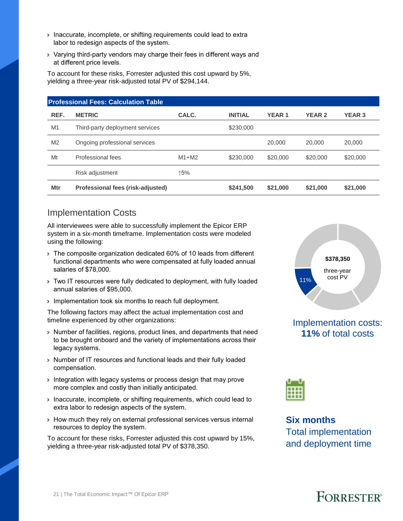- › Inaccurate, incomplete, or shifting requirements could lead to extra labor to redesign aspects of the system.
- › Varying third-party vendors may charge their fees in different ways and at different price levels.

To account for these risks, Forrester adjusted this cost upward by 5%, yielding a three-year risk-adjusted total PV of \$294,144.

|                | <b>Professional Fees: Calculation Table</b> |         |                |              |               |               |
|----------------|---------------------------------------------|---------|----------------|--------------|---------------|---------------|
| REF.           | <b>METRIC</b>                               | CALC.   | <b>INITIAL</b> | <b>YEAR1</b> | <b>YEAR 2</b> | <b>YEAR 3</b> |
| M <sub>1</sub> | Third-party deployment services             |         | \$230,000      |              |               |               |
| M <sub>2</sub> | Ongoing professional services               |         |                | 20,000       | 20,000        | 20,000        |
| Mt             | Professional fees                           | $M1+M2$ | \$230,000      | \$20,000     | \$20,000      | \$20,000      |
|                | Risk adjustment                             | ↑5%     |                |              |               |               |
| Mtr            | Professional fees (risk-adjusted)           |         | \$241,500      | \$21,000     | \$21,000      | \$21,000      |

#### Implementation Costs

All interviewees were able to successfully implement the Epicor ERP system in a six-month timeframe. Implementation costs were modeled using the following:

- › The composite organization dedicated 60% of 10 leads from different functional departments who were compensated at fully loaded annual salaries of \$78,000.
- › Two IT resources were fully dedicated to deployment, with fully loaded annual salaries of \$95,000.
- › Implementation took six months to reach full deployment.

The following factors may affect the actual implementation cost and timeline experienced by other organizations:

- › Number of facilities, regions, product lines, and departments that need to be brought onboard and the variety of implementations across their legacy systems.
- › Number of IT resources and functional leads and their fully loaded compensation.
- › Integration with legacy systems or process design that may prove more complex and costly than initially anticipated.
- › Inaccurate, incomplete, or shifting requirements, which could lead to extra labor to redesign aspects of the system.
- › How much they rely on external professional services versus internal resources to deploy the system.

To account for these risks, Forrester adjusted this cost upward by 15%, yielding a three-year risk-adjusted total PV of \$378,350.



#### Implementation costs: **11%** of total costs



**Six months** Total implementation and deployment time

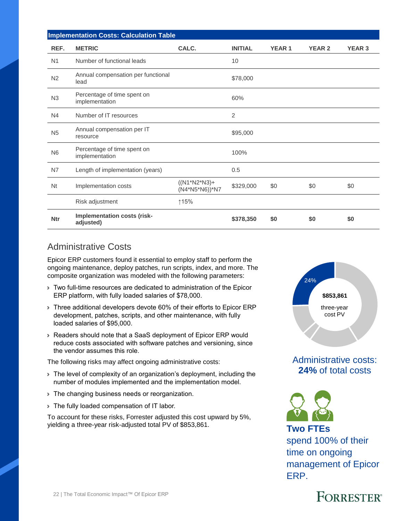|                | <b>Implementation Costs: Calculation Table</b> |                                  |                |              |               |               |  |  |
|----------------|------------------------------------------------|----------------------------------|----------------|--------------|---------------|---------------|--|--|
| REF.           | <b>METRIC</b>                                  | CALC.                            | <b>INITIAL</b> | <b>YEAR1</b> | <b>YEAR 2</b> | <b>YEAR 3</b> |  |  |
| N <sub>1</sub> | Number of functional leads                     |                                  | 10             |              |               |               |  |  |
| N <sub>2</sub> | Annual compensation per functional<br>lead     |                                  | \$78,000       |              |               |               |  |  |
| N <sub>3</sub> | Percentage of time spent on<br>implementation  |                                  | 60%            |              |               |               |  |  |
| N <sub>4</sub> | Number of IT resources                         |                                  | $\overline{2}$ |              |               |               |  |  |
| N <sub>5</sub> | Annual compensation per IT<br>resource         |                                  | \$95,000       |              |               |               |  |  |
| N <sub>6</sub> | Percentage of time spent on<br>implementation  |                                  | 100%           |              |               |               |  |  |
| N7             | Length of implementation (years)               |                                  | 0.5            |              |               |               |  |  |
| N <sub>t</sub> | Implementation costs                           | $((N1*N2*N3)+$<br>(N4*N5*N6))*N7 | \$329,000      | \$0          | \$0           | \$0           |  |  |
|                | Risk adjustment                                | ↑15%                             |                |              |               |               |  |  |
| <b>Ntr</b>     | Implementation costs (risk-<br>adjusted)       |                                  | \$378,350      | \$0          | \$0           | \$0           |  |  |

#### Administrative Costs

Epicor ERP customers found it essential to employ staff to perform the ongoing maintenance, deploy patches, run scripts, index, and more. The composite organization was modeled with the following parameters:

- › Two full-time resources are dedicated to administration of the Epicor ERP platform, with fully loaded salaries of \$78,000.
- › Three additional developers devote 60% of their efforts to Epicor ERP development, patches, scripts, and other maintenance, with fully loaded salaries of \$95,000.
- › Readers should note that a SaaS deployment of Epicor ERP would reduce costs associated with software patches and versioning, since the vendor assumes this role.

The following risks may affect ongoing administrative costs:

- › The level of complexity of an organization's deployment, including the number of modules implemented and the implementation model.
- › The changing business needs or reorganization.
- › The fully loaded compensation of IT labor.

To account for these risks, Forrester adjusted this cost upward by 5%, yielding a three-year risk-adjusted total PV of \$853,861. **Two FTEs**



### Administrative costs: **24%** of total costs



### spend 100% of their time on ongoing management of Epicor ERP.

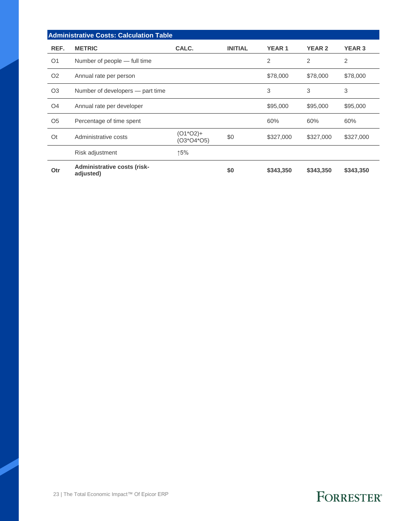|                | <b>Administrative Costs: Calculation Table</b>  |                        |                |              |                |               |
|----------------|-------------------------------------------------|------------------------|----------------|--------------|----------------|---------------|
| REF.           | <b>METRIC</b>                                   | CALC.                  | <b>INITIAL</b> | <b>YEAR1</b> | <b>YEAR 2</b>  | <b>YEAR 3</b> |
| O <sub>1</sub> | Number of people — full time                    |                        |                | 2            | $\overline{2}$ | 2             |
| O <sub>2</sub> | Annual rate per person                          |                        |                | \$78,000     | \$78,000       | \$78,000      |
| O <sub>3</sub> | Number of developers — part time                |                        |                | 3            | 3              | 3             |
| O <sub>4</sub> | Annual rate per developer                       |                        |                | \$95,000     | \$95,000       | \$95,000      |
| O <sub>5</sub> | Percentage of time spent                        |                        |                | 60%          | 60%            | 60%           |
| 0t             | Administrative costs                            | (O1*O2)+<br>(O3*O4*O5) | \$0            | \$327,000    | \$327,000      | \$327,000     |
|                | Risk adjustment                                 | ↑5%                    |                |              |                |               |
| Otr            | <b>Administrative costs (risk-</b><br>adjusted) |                        | \$0            | \$343,350    | \$343,350      | \$343,350     |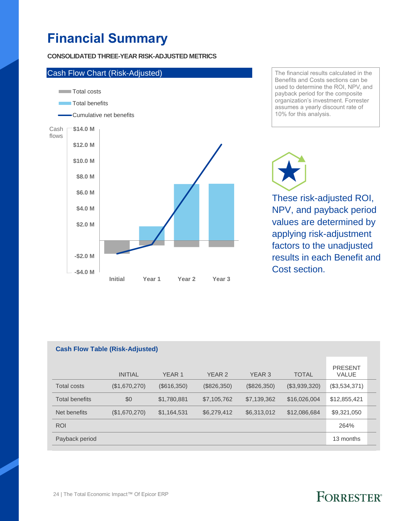## **Financial Summary**

**CONSOLIDATED THREE-YEAR RISK-ADJUSTED METRICS**



The financial results calculated in the Benefits and Costs sections can be used to determine the ROI, NPV, and payback period for the composite organization's investment. Forrester assumes a yearly discount rate of 10% for this analysis.

These risk-adjusted ROI, NPV, and payback period values are determined by applying risk-adjustment factors to the unadjusted results in each Benefit and Cost section.

| <b>Cash Flow Table (Risk-Adjusted)</b> |                |             |                   |             |               |                                |  |
|----------------------------------------|----------------|-------------|-------------------|-------------|---------------|--------------------------------|--|
|                                        | <b>INITIAL</b> | YEAR 1      | YEAR <sub>2</sub> | YEAR 3      | <b>TOTAL</b>  | <b>PRESENT</b><br><b>VALUE</b> |  |
| Total costs                            | (\$1,670,270)  | (\$616,350) | (\$826,350)       | (\$826,350) | (\$3,939,320) | (\$3,534,371)                  |  |
| <b>Total benefits</b>                  | \$0            | \$1,780,881 | \$7,105,762       | \$7,139,362 | \$16,026,004  | \$12,855,421                   |  |
| Net benefits                           | (\$1,670,270)  | \$1,164,531 | \$6,279,412       | \$6,313,012 | \$12,086,684  | \$9,321,050                    |  |
| <b>ROI</b>                             |                |             |                   |             |               | 264%                           |  |
| Payback period                         |                |             |                   |             |               | 13 months                      |  |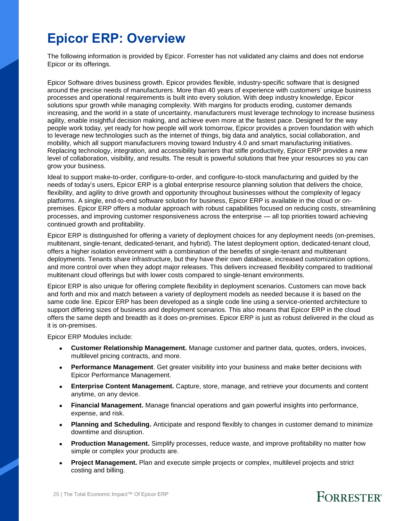### **Epicor ERP: Overview**

The following information is provided by Epicor. Forrester has not validated any claims and does not endorse Epicor or its offerings.

Epicor Software drives business growth. Epicor provides flexible, industry-specific software that is designed around the precise needs of manufacturers. More than 40 years of experience with customers' unique business processes and operational requirements is built into every solution. With deep industry knowledge, Epicor solutions spur growth while managing complexity. With margins for products eroding, customer demands increasing, and the world in a state of uncertainty, manufacturers must leverage technology to increase business agility, enable insightful decision making, and achieve even more at the fastest pace. Designed for the way people work today, yet ready for how people will work tomorrow, Epicor provides a proven foundation with which to leverage new technologies such as the internet of things, big data and analytics, social collaboration, and mobility, which all support manufacturers moving toward Industry 4.0 and smart manufacturing initiatives. Replacing technology, integration, and accessibility barriers that stifle productivity, Epicor ERP provides a new level of collaboration, visibility, and results. The result is powerful solutions that free your resources so you can grow your business.

Ideal to support make-to-order, configure-to-order, and configure-to-stock manufacturing and guided by the needs of today's users, Epicor ERP is a global enterprise resource planning solution that delivers the choice, flexibility, and agility to drive growth and opportunity throughout businesses without the complexity of legacy platforms. A single, end-to-end software solution for business, Epicor ERP is available in the cloud or onpremises. Epicor ERP offers a modular approach with robust capabilities focused on reducing costs, streamlining processes, and improving customer responsiveness across the enterprise — all top priorities toward achieving continued growth and profitability.

Epicor ERP is distinguished for offering a variety of deployment choices for any deployment needs (on-premises, multitenant, single-tenant, dedicated-tenant, and hybrid). The latest deployment option, dedicated-tenant cloud, offers a higher isolation environment with a combination of the benefits of single-tenant and multitenant deployments. Tenants share infrastructure, but they have their own database, increased customization options, and more control over when they adopt major releases. This delivers increased flexibility compared to traditional multitenant cloud offerings but with lower costs compared to single-tenant environments.

Epicor ERP is also unique for offering complete flexibility in deployment scenarios. Customers can move back and forth and mix and match between a variety of deployment models as needed because it is based on the same code line. Epicor ERP has been developed as a single code line using a service-oriented architecture to support differing sizes of business and deployment scenarios. This also means that Epicor ERP in the cloud offers the same depth and breadth as it does on-premises. Epicor ERP is just as robust delivered in the cloud as it is on-premises.

Epicor ERP Modules include:

- **Customer Relationship Management.** Manage customer and partner data, quotes, orders, invoices, multilevel pricing contracts, and more.
- **Performance Management**. Get greater visibility into your business and make better decisions with Epicor Performance Management.
- **Enterprise Content Management.** Capture, store, manage, and retrieve your documents and content anytime, on any device.
- **Financial Management.** Manage financial operations and gain powerful insights into performance, expense, and risk.
- **Planning and Scheduling.** Anticipate and respond flexibly to changes in customer demand to minimize downtime and disruption.
- **Production Management.** Simplify processes, reduce waste, and improve profitability no matter how simple or complex your products are.
- **Project Management.** Plan and execute simple projects or complex, multilevel projects and strict costing and billing.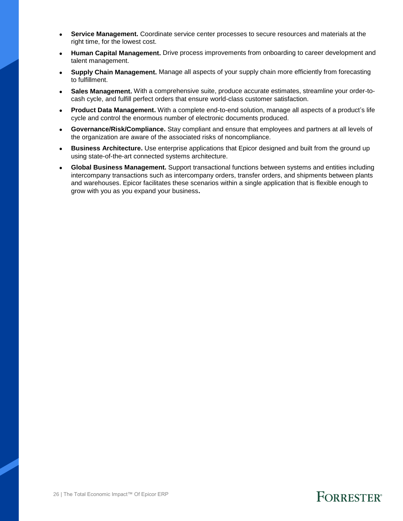- **Service Management.** Coordinate service center processes to secure resources and materials at the right time, for the lowest cost.
- **Human Capital Management.** Drive process improvements from onboarding to career development and talent management.
- **Supply Chain Management.** Manage all aspects of your supply chain more efficiently from forecasting to fulfillment.
- **Sales Management.** With a comprehensive suite, produce accurate estimates, streamline your order-tocash cycle, and fulfill perfect orders that ensure world-class customer satisfaction.
- **Product Data Management.** With a complete end-to-end solution, manage all aspects of a product's life cycle and control the enormous number of electronic documents produced.
- **Governance/Risk/Compliance.** Stay compliant and ensure that employees and partners at all levels of the organization are aware of the associated risks of noncompliance.
- **Business Architecture.** Use enterprise applications that Epicor designed and built from the ground up using state-of-the-art connected systems architecture.
- **Global Business Management.** Support transactional functions between systems and entities including intercompany transactions such as intercompany orders, transfer orders, and shipments between plants and warehouses. Epicor facilitates these scenarios within a single application that is flexible enough to grow with you as you expand your business**.**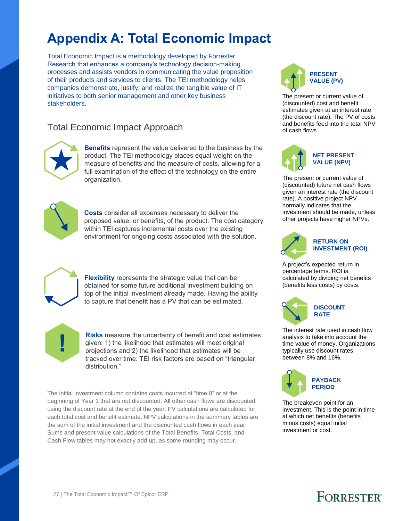### **Appendix A: Total Economic Impact**

Total Economic Impact is a methodology developed by Forrester Research that enhances a company's technology decision-making processes and assists vendors in communicating the value proposition of their products and services to clients. The TEI methodology helps companies demonstrate, justify, and realize the tangible value of IT initiatives to both senior management and other key business stakeholders.

### Total Economic Impact Approach



**Benefits** represent the value delivered to the business by the product. The TEI methodology places equal weight on the measure of benefits and the measure of costs, allowing for a full examination of the effect of the technology on the entire organization.



**Costs** consider all expenses necessary to deliver the proposed value, or benefits, of the product. The cost category within TEI captures incremental costs over the existing environment for ongoing costs associated with the solution.



**Flexibility** represents the strategic value that can be obtained for some future additional investment building on top of the initial investment already made. Having the ability to capture that benefit has a PV that can be estimated.



**Risks** measure the uncertainty of benefit and cost estimates given: 1) the likelihood that estimates will meet original projections and 2) the likelihood that estimates will be tracked over time. TEI risk factors are based on "triangular distribution."

The initial investment column contains costs incurred at "time 0" or at the beginning of Year 1 that are not discounted. All other cash flows are discounted using the discount rate at the end of the year. PV calculations are calculated for each total cost and benefit estimate. NPV calculations in the summary tables are the sum of the initial investment and the discounted cash flows in each year. Sums and present value calculations of the Total Benefits, Total Costs, and Cash Flow tables may not exactly add up, as some rounding may occur.



The present or current value of (discounted) cost and benefit estimates given at an interest rate (the discount rate). The PV of costs and benefits feed into the total NPV of cash flows.



The present or current value of (discounted) future net cash flows given an interest rate (the discount rate). A positive project NPV normally indicates that the investment should be made, unless other projects have higher NPVs.



#### **RETURN ON INVESTMENT (ROI)**

A project's expected return in percentage terms. ROI is calculated by dividing net benefits (benefits less costs) by costs.



The interest rate used in cash flow analysis to take into account the time value of money. Organizations typically use discount rates between 8% and 16%.



The breakeven point for an investment. This is the point in time at which net benefits (benefits minus costs) equal initial investment or cost.